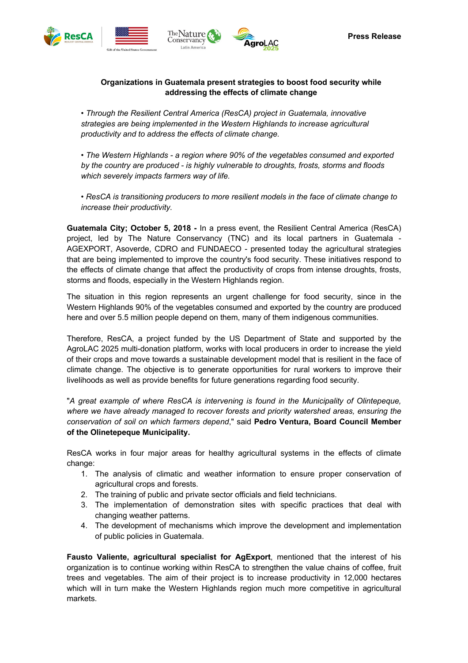









## **Organizations in Guatemala present strategies to boost food security while addressing the effects of climate change**

*• Through the Resilient Central America (ResCA) project in Guatemala, innovative strategies are being implemented in the Western Highlands to increase agricultural productivity and to address the effects of climate change.*

*• The Western Highlands - a region where 90% of the vegetables consumed and exported by the country are produced - is highly vulnerable to droughts, frosts, storms and floods which severely impacts farmers way of life.*

*• ResCA is transitioning producers to more resilient models in the face of climate change to increase their productivity.*

**Guatemala City; October 5, 2018 -** In a press event, the Resilient Central America (ResCA) project, led by The Nature Conservancy (TNC) and its local partners in Guatemala - AGEXPORT, Asoverde, CDRO and FUNDAECO - presented today the agricultural strategies that are being implemented to improve the country's food security. These initiatives respond to the effects of climate change that affect the productivity of crops from intense droughts, frosts, storms and floods, especially in the Western Highlands region.

The situation in this region represents an urgent challenge for food security, since in the Western Highlands 90% of the vegetables consumed and exported by the country are produced here and over 5.5 million people depend on them, many of them indigenous communities.

Therefore, ResCA, a project funded by the US Department of State and supported by the AgroLAC 2025 multi-donation platform, works with local producers in order to increase the yield of their crops and move towards a sustainable development model that is resilient in the face of climate change. The objective is to generate opportunities for rural workers to improve their livelihoods as well as provide benefits for future generations regarding food security.

"*A great example of where ResCA is intervening is found in the Municipality of Olintepeque, where we have already managed to recover forests and priority watershed areas, ensuring the conservation of soil on which farmers depend*," said **Pedro Ventura, Board Council Member of the Olinetepeque Municipality.**

ResCA works in four major areas for healthy agricultural systems in the effects of climate change:

- 1. The analysis of climatic and weather information to ensure proper conservation of agricultural crops and forests.
- 2. The training of public and private sector officials and field technicians.
- 3. The implementation of demonstration sites with specific practices that deal with changing weather patterns.
- 4. The development of mechanisms which improve the development and implementation of public policies in Guatemala.

**Fausto Valiente, agricultural specialist for AgExport**, mentioned that the interest of his organization is to continue working within ResCA to strengthen the value chains of coffee, fruit trees and vegetables. The aim of their project is to increase productivity in 12,000 hectares which will in turn make the Western Highlands region much more competitive in agricultural markets.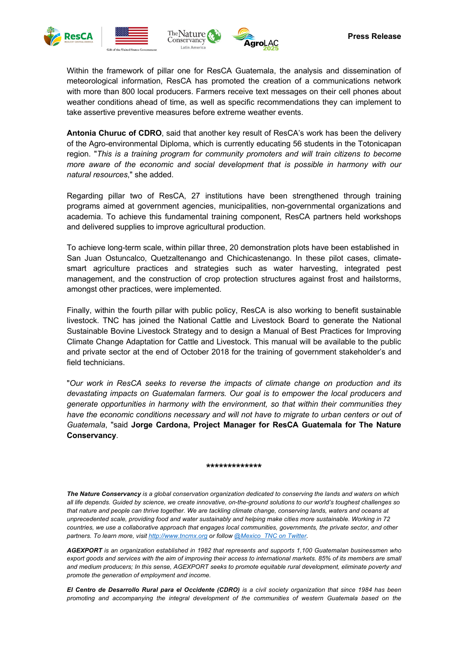







Within the framework of pillar one for ResCA Guatemala, the analysis and dissemination of meteorological information, ResCA has promoted the creation of a communications network with more than 800 local producers. Farmers receive text messages on their cell phones about weather conditions ahead of time, as well as specific recommendations they can implement to take assertive preventive measures before extreme weather events.

**Antonia Churuc of CDRO**, said that another key result of ResCA's work has been the delivery of the Agro-environmental Diploma, which is currently educating 56 students in the Totonicapan region. "*This is a training program for community promoters and will train citizens to become more aware of the economic and social development that is possible in harmony with our natural resources*," she added.

Regarding pillar two of ResCA, 27 institutions have been strengthened through training programs aimed at government agencies, municipalities, non-governmental organizations and academia. To achieve this fundamental training component, ResCA partners held workshops and delivered supplies to improve agricultural production.

To achieve long-term scale, within pillar three, 20 demonstration plots have been established in San Juan Ostuncalco, Quetzaltenango and Chichicastenango. In these pilot cases, climatesmart agriculture practices and strategies such as water harvesting, integrated pest management, and the construction of crop protection structures against frost and hailstorms, amongst other practices, were implemented.

Finally, within the fourth pillar with public policy, ResCA is also working to benefit sustainable livestock. TNC has joined the National Cattle and Livestock Board to generate the National Sustainable Bovine Livestock Strategy and to design a Manual of Best Practices for Improving Climate Change Adaptation for Cattle and Livestock. This manual will be available to the public and private sector at the end of October 2018 for the training of government stakeholder's and field technicians.

"*Our work in ResCA seeks to reverse the impacts of climate change on production and its devastating impacts on Guatemalan farmers. Our goal is to empower the local producers and generate opportunities in harmony with the environment, so that within their communities they have the economic conditions necessary and will not have to migrate to urban centers or out of Guatemala*, "said **Jorge Cardona, Project Manager for ResCA Guatemala for The Nature Conservancy**.

## **\*\*\*\*\*\*\*\*\*\*\*\*\***

*The Nature Conservancy is a global conservation organization dedicated to conserving the lands and waters on which all life depends. Guided by science, we create innovative, on-the-ground solutions to our world's toughest challenges so that nature and people can thrive together. We are tackling climate change, conserving lands, waters and oceans at unprecedented scale, providing food and water sustainably and helping make cities more sustainable. Working in 72 countries, we use a collaborative approach that engages local communities, governments, the private sector, and other partners. To learn more, visit http://www.tncmx.org or follow @Mexico\_TNC on Twitter.*

*AGEXPORT is an organization established in 1982 that represents and supports 1,100 Guatemalan businessmen who export goods and services with the aim of improving their access to international markets. 85% of its members are small and medium producers; In this sense, AGEXPORT seeks to promote equitable rural development, eliminate poverty and promote the generation of employment and income.*

*El Centro de Desarrollo Rural para el Occidente (CDRO) is a civil society organization that since 1984 has been promoting and accompanying the integral development of the communities of western Guatemala based on the*